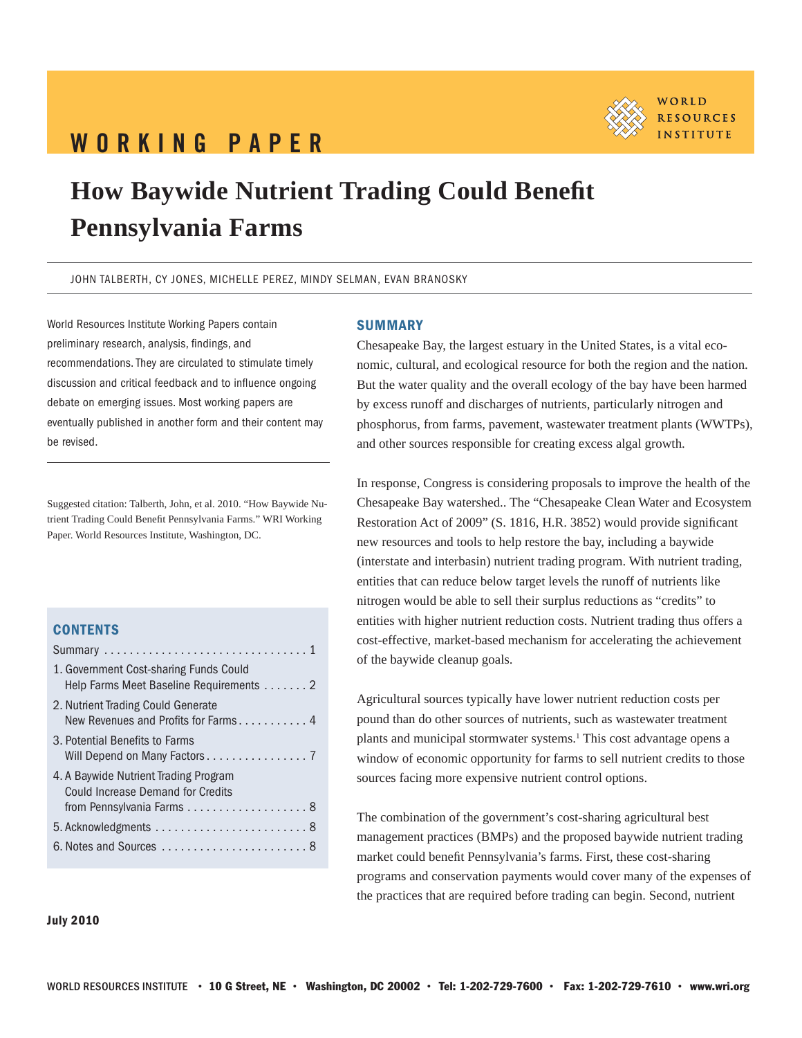# WORKING PAPER



# **How Baywide Nutrient Trading Could Benefi t Pennsylvania Farms**

JOHN TALBERTH, CY JONES, MICHELLE PEREZ, MINDY SELMAN, EVAN BRANOSKY

World Resources Institute Working Papers contain preliminary research, analysis, findings, and recommendations. They are circulated to stimulate timely discussion and critical feedback and to influence ongoing debate on emerging issues. Most working papers are eventually published in another form and their content may be revised.

Suggested citation: Talberth, John, et al. 2010. "How Baywide Nutrient Trading Could Benefit Pennsylvania Farms." WRI Working Paper. World Resources Institute, Washington, DC.

# **CONTENTS**

| 1. Government Cost-sharing Funds Could<br>Help Farms Meet Baseline Requirements 2 |
|-----------------------------------------------------------------------------------|
| 2. Nutrient Trading Could Generate<br>New Revenues and Profits for Farms 4        |
| 3. Potential Benefits to Farms<br>Will Depend on Many Factors 7                   |
| 4. A Baywide Nutrient Trading Program<br><b>Could Increase Demand for Credits</b> |
|                                                                                   |
| $5.$ Acknowledgments $\ldots \ldots \ldots \ldots \ldots \ldots$ .                |
|                                                                                   |

### **SUMMARY**

Chesapeake Bay, the largest estuary in the United States, is a vital economic, cultural, and ecological resource for both the region and the nation. But the water quality and the overall ecology of the bay have been harmed by excess runoff and discharges of nutrients, particularly nitrogen and phosphorus, from farms, pavement, wastewater treatment plants (WWTPs), and other sources responsible for creating excess algal growth.

In response, Congress is considering proposals to improve the health of the Chesapeake Bay watershed.. The "Chesapeake Clean Water and Ecosystem Restoration Act of 2009" (S. 1816, H.R. 3852) would provide significant new resources and tools to help restore the bay, including a baywide (interstate and interbasin) nutrient trading program. With nutrient trading, entities that can reduce below target levels the runoff of nutrients like nitrogen would be able to sell their surplus reductions as "credits" to entities with higher nutrient reduction costs. Nutrient trading thus offers a cost-effective, market-based mechanism for accelerating the achievement of the baywide cleanup goals.

Agricultural sources typically have lower nutrient reduction costs per pound than do other sources of nutrients, such as wastewater treatment plants and municipal stormwater systems.<sup>1</sup> This cost advantage opens a window of economic opportunity for farms to sell nutrient credits to those sources facing more expensive nutrient control options.

The combination of the government's cost-sharing agricultural best management practices (BMPs) and the proposed baywide nutrient trading market could benefit Pennsylvania's farms. First, these cost-sharing programs and conservation payments would cover many of the expenses of the practices that are required before trading can begin. Second, nutrient

#### July 2010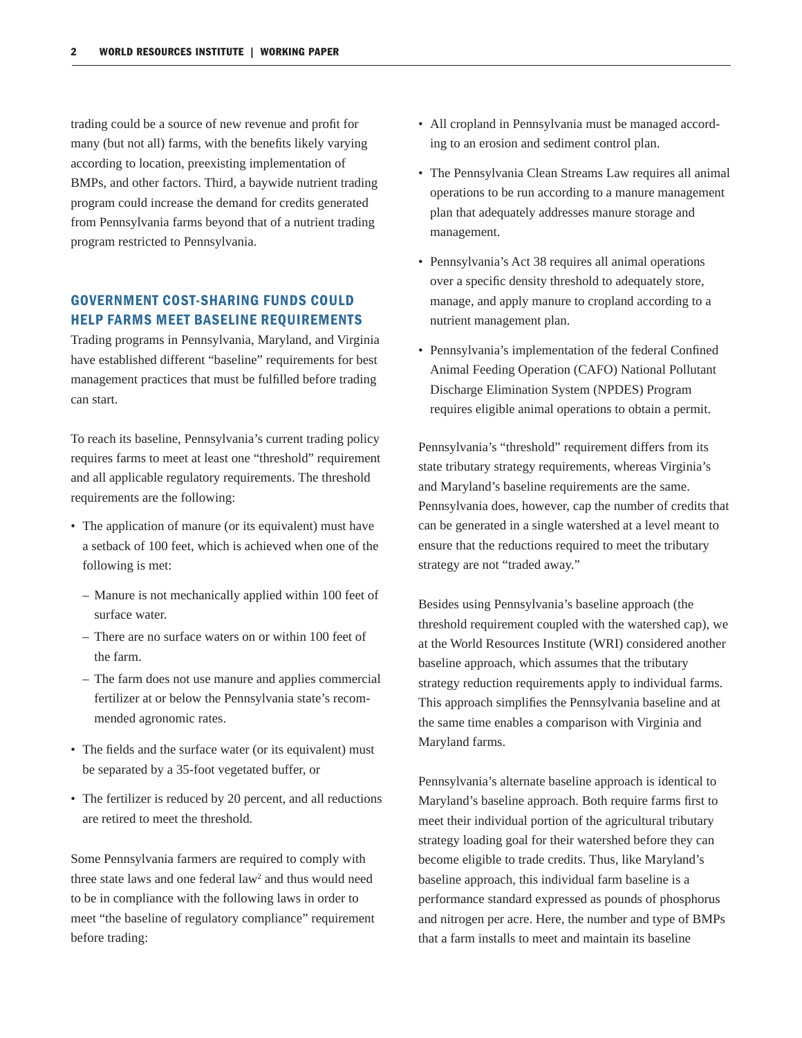trading could be a source of new revenue and profit for many (but not all) farms, with the benefits likely varying according to location, preexisting implementation of BMPs, and other factors. Third, a baywide nutrient trading program could increase the demand for credits generated from Pennsylvania farms beyond that of a nutrient trading program restricted to Pennsylvania.

# GOVERNMENT COST-SHARING FUNDS COULD HELP FARMS MEET BASELINE REQUIREMENTS

Trading programs in Pennsylvania, Maryland, and Virginia have established different "baseline" requirements for best management practices that must be fulfilled before trading can start.

To reach its baseline, Pennsylvania's current trading policy requires farms to meet at least one "threshold" requirement and all applicable regulatory requirements. The threshold requirements are the following:

- The application of manure (or its equivalent) must have a setback of 100 feet, which is achieved when one of the following is met:
	- Manure is not mechanically applied within 100 feet of surface water.
	- There are no surface waters on or within 100 feet of the farm.
	- The farm does not use manure and applies commercial fertilizer at or below the Pennsylvania state's recommended agronomic rates.
- The fields and the surface water (or its equivalent) must be separated by a 35-foot vegetated buffer, or
- The fertilizer is reduced by 20 percent, and all reductions are retired to meet the threshold.

Some Pennsylvania farmers are required to comply with three state laws and one federal law<sup>2</sup> and thus would need to be in compliance with the following laws in order to meet "the baseline of regulatory compliance" requirement before trading:

- All cropland in Pennsylvania must be managed according to an erosion and sediment control plan.
- The Pennsylvania Clean Streams Law requires all animal operations to be run according to a manure management plan that adequately addresses manure storage and management.
- Pennsylvania's Act 38 requires all animal operations over a specific density threshold to adequately store, manage, and apply manure to cropland according to a nutrient management plan.
- Pennsylvania's implementation of the federal Confined Animal Feeding Operation (CAFO) National Pollutant Discharge Elimination System (NPDES) Program requires eligible animal operations to obtain a permit.

Pennsylvania's "threshold" requirement differs from its state tributary strategy requirements, whereas Virginia's and Maryland's baseline requirements are the same. Pennsylvania does, however, cap the number of credits that can be generated in a single watershed at a level meant to ensure that the reductions required to meet the tributary strategy are not "traded away."

Besides using Pennsylvania's baseline approach (the threshold requirement coupled with the watershed cap), we at the World Resources Institute (WRI) considered another baseline approach, which assumes that the tributary strategy reduction requirements apply to individual farms. This approach simplifies the Pennsylvania baseline and at the same time enables a comparison with Virginia and Maryland farms.

Pennsylvania's alternate baseline approach is identical to Maryland's baseline approach. Both require farms first to meet their individual portion of the agricultural tributary strategy loading goal for their watershed before they can become eligible to trade credits. Thus, like Maryland's baseline approach, this individual farm baseline is a performance standard expressed as pounds of phosphorus and nitrogen per acre. Here, the number and type of BMPs that a farm installs to meet and maintain its baseline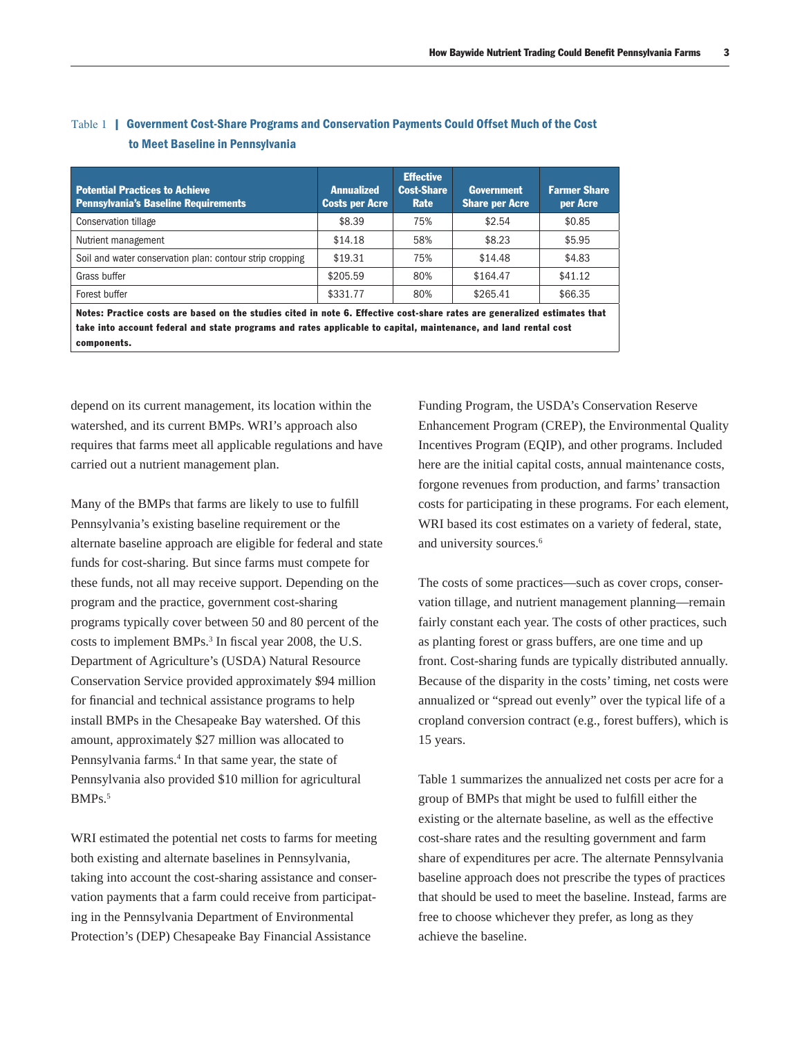| <b>Potential Practices to Achieve</b><br><b>Pennsylvania's Baseline Requirements</b>                                                                                                                                                                        | <b>Annualized</b><br><b>Costs per Acre</b> | <b>Effective</b><br><b>Cost-Share</b><br>Rate | <b>Government</b><br><b>Share per Acre</b> | <b>Farmer Share</b><br>per Acre |  |  |
|-------------------------------------------------------------------------------------------------------------------------------------------------------------------------------------------------------------------------------------------------------------|--------------------------------------------|-----------------------------------------------|--------------------------------------------|---------------------------------|--|--|
| <b>Conservation tillage</b>                                                                                                                                                                                                                                 | \$8.39                                     | 75%                                           | \$2.54                                     | \$0.85                          |  |  |
| Nutrient management                                                                                                                                                                                                                                         | \$14.18                                    | 58%                                           | \$8.23                                     | \$5.95                          |  |  |
| Soil and water conservation plan: contour strip cropping                                                                                                                                                                                                    | \$19.31                                    | 75%                                           | \$14.48                                    | \$4.83                          |  |  |
| Grass buffer                                                                                                                                                                                                                                                | \$205.59                                   | 80%                                           | \$164.47                                   | \$41.12                         |  |  |
| Forest buffer                                                                                                                                                                                                                                               | \$331.77                                   | 80%                                           | \$265.41                                   | \$66.35                         |  |  |
| Notes: Practice costs are based on the studies cited in note 6. Effective cost-share rates are generalized estimates that<br>take into account federal and state programs and rates applicable to capital, maintenance, and land rental cost<br>components. |                                            |                                               |                                            |                                 |  |  |

# Table 1 | Government Cost-Share Programs and Conservation Payments Could Offset Much of the Cost to Meet Baseline in Pennsylvania

depend on its current management, its location within the watershed, and its current BMPs. WRI's approach also requires that farms meet all applicable regulations and have carried out a nutrient management plan.

Many of the BMPs that farms are likely to use to fulfill Pennsylvania's existing baseline requirement or the alternate baseline approach are eligible for federal and state funds for cost-sharing. But since farms must compete for these funds, not all may receive support. Depending on the program and the practice, government cost-sharing programs typically cover between 50 and 80 percent of the costs to implement BMPs.<sup>3</sup> In fiscal year 2008, the U.S. Department of Agriculture's (USDA) Natural Resource Conservation Service provided approximately \$94 million for financial and technical assistance programs to help install BMPs in the Chesapeake Bay watershed. Of this amount, approximately \$27 million was allocated to Pennsylvania farms.<sup>4</sup> In that same year, the state of Pennsylvania also provided \$10 million for agricultural BMPs.5

WRI estimated the potential net costs to farms for meeting both existing and alternate baselines in Pennsylvania, taking into account the cost-sharing assistance and conservation payments that a farm could receive from participating in the Pennsylvania Department of Environmental Protection's (DEP) Chesapeake Bay Financial Assistance

Funding Program, the USDA's Conservation Reserve Enhancement Program (CREP), the Environmental Quality Incentives Program (EQIP), and other programs. Included here are the initial capital costs, annual maintenance costs, forgone revenues from production, and farms' transaction costs for participating in these programs. For each element, WRI based its cost estimates on a variety of federal, state, and university sources.6

The costs of some practices—such as cover crops, conservation tillage, and nutrient management planning—remain fairly constant each year. The costs of other practices, such as planting forest or grass buffers, are one time and up front. Cost-sharing funds are typically distributed annually. Because of the disparity in the costs' timing, net costs were annualized or "spread out evenly" over the typical life of a cropland conversion contract (e.g., forest buffers), which is 15 years.

Table 1 summarizes the annualized net costs per acre for a group of BMPs that might be used to fulfill either the existing or the alternate baseline, as well as the effective cost-share rates and the resulting government and farm share of expenditures per acre. The alternate Pennsylvania baseline approach does not prescribe the types of practices that should be used to meet the baseline. Instead, farms are free to choose whichever they prefer, as long as they achieve the baseline.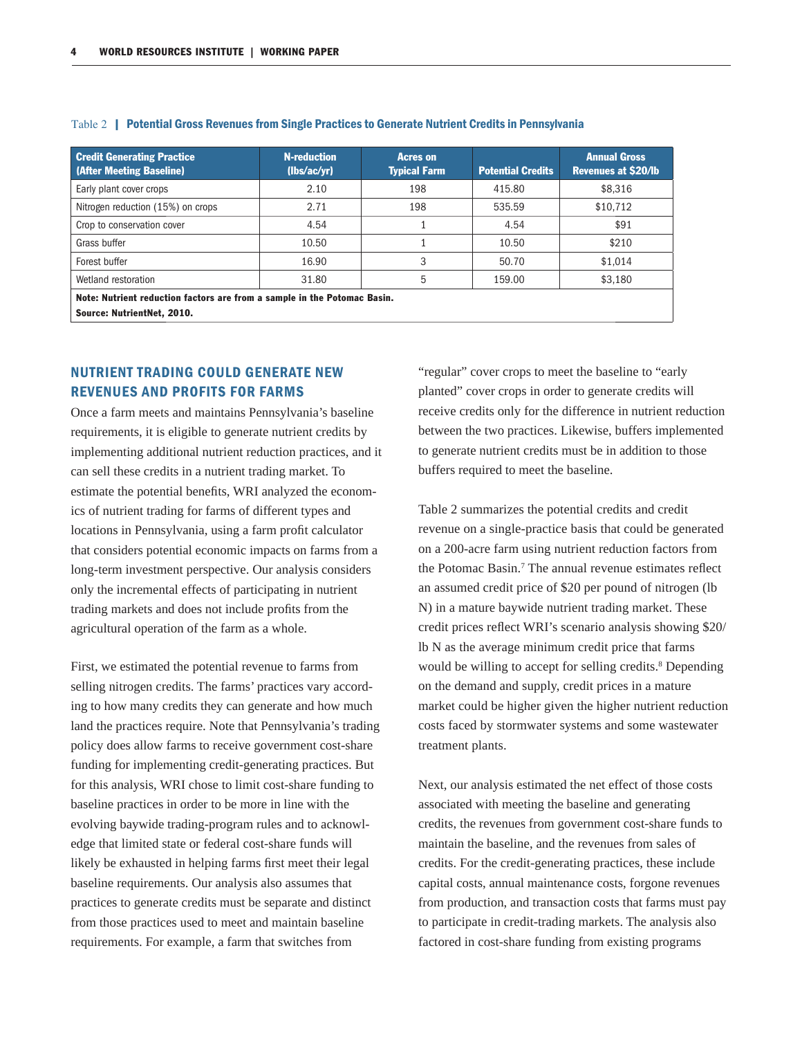| <b>Credit Generating Practice</b><br>(After Meeting Baseline)                                          | <b>N-reduction</b><br>(lbs/ac/yr) | <b>Acres on</b><br><b>Typical Farm</b> | <b>Potential Credits</b> | <b>Annual Gross</b><br><b>Revenues at \$20/lb</b> |  |  |  |
|--------------------------------------------------------------------------------------------------------|-----------------------------------|----------------------------------------|--------------------------|---------------------------------------------------|--|--|--|
| Early plant cover crops                                                                                | 2.10                              | 198                                    | 415.80                   | \$8,316                                           |  |  |  |
| Nitrogen reduction (15%) on crops                                                                      | 2.71                              | 198                                    | 535.59                   | \$10,712                                          |  |  |  |
| Crop to conservation cover                                                                             | 4.54                              |                                        | 4.54                     | \$91                                              |  |  |  |
| Grass buffer                                                                                           | 10.50                             |                                        | 10.50                    | \$210                                             |  |  |  |
| Forest buffer                                                                                          | 16.90                             | 3                                      | 50.70                    | \$1,014                                           |  |  |  |
| Wetland restoration                                                                                    | 31.80                             | 5                                      | 159.00                   | \$3,180                                           |  |  |  |
| Note: Nutrient reduction factors are from a sample in the Potomac Basin.<br>Source: NutrientNet, 2010. |                                   |                                        |                          |                                                   |  |  |  |

#### Table 2 | Potential Gross Revenues from Single Practices to Generate Nutrient Credits in Pennsylvania

NUTRIENT TRADING COULD GENERATE NEW REVENUES AND PROFITS FOR FARMS

Once a farm meets and maintains Pennsylvania's baseline requirements, it is eligible to generate nutrient credits by implementing additional nutrient reduction practices, and it can sell these credits in a nutrient trading market. To estimate the potential benefits, WRI analyzed the economics of nutrient trading for farms of different types and locations in Pennsylvania, using a farm profit calculator that considers potential economic impacts on farms from a long-term investment perspective. Our analysis considers only the incremental effects of participating in nutrient trading markets and does not include profits from the agricultural operation of the farm as a whole.

First, we estimated the potential revenue to farms from selling nitrogen credits. The farms' practices vary according to how many credits they can generate and how much land the practices require. Note that Pennsylvania's trading policy does allow farms to receive government cost-share funding for implementing credit-generating practices. But for this analysis, WRI chose to limit cost-share funding to baseline practices in order to be more in line with the evolving baywide trading-program rules and to acknowledge that limited state or federal cost-share funds will likely be exhausted in helping farms first meet their legal baseline requirements. Our analysis also assumes that practices to generate credits must be separate and distinct from those practices used to meet and maintain baseline requirements. For example, a farm that switches from

"regular" cover crops to meet the baseline to "early planted" cover crops in order to generate credits will receive credits only for the difference in nutrient reduction between the two practices. Likewise, buffers implemented to generate nutrient credits must be in addition to those buffers required to meet the baseline.

Table 2 summarizes the potential credits and credit revenue on a single-practice basis that could be generated on a 200-acre farm using nutrient reduction factors from the Potomac Basin.<sup>7</sup> The annual revenue estimates reflect an assumed credit price of \$20 per pound of nitrogen (lb N) in a mature baywide nutrient trading market. These credit prices reflect WRI's scenario analysis showing \$20/ lb N as the average minimum credit price that farms would be willing to accept for selling credits.<sup>8</sup> Depending on the demand and supply, credit prices in a mature market could be higher given the higher nutrient reduction costs faced by stormwater systems and some wastewater treatment plants.

Next, our analysis estimated the net effect of those costs associated with meeting the baseline and generating credits, the revenues from government cost-share funds to maintain the baseline, and the revenues from sales of credits. For the credit-generating practices, these include capital costs, annual maintenance costs, forgone revenues from production, and transaction costs that farms must pay to participate in credit-trading markets. The analysis also factored in cost-share funding from existing programs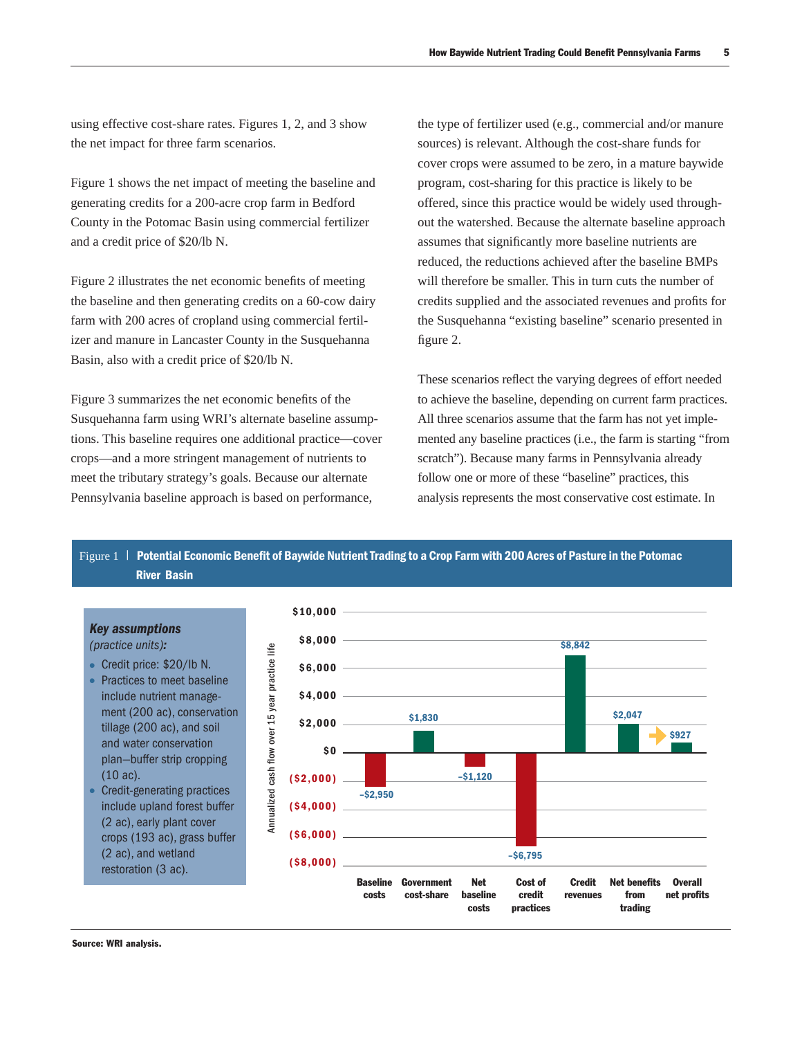using effective cost-share rates. Figures 1, 2, and 3 show the net impact for three farm scenarios.

Figure 1 shows the net impact of meeting the baseline and generating credits for a 200-acre crop farm in Bedford County in the Potomac Basin using commercial fertilizer and a credit price of \$20/lb N.

Figure 2 illustrates the net economic benefits of meeting the baseline and then generating credits on a 60-cow dairy farm with 200 acres of cropland using commercial fertilizer and manure in Lancaster County in the Susquehanna Basin, also with a credit price of \$20/lb N.

Figure 3 summarizes the net economic benefits of the Susquehanna farm using WRI's alternate baseline assumptions. This baseline requires one additional practice—cover crops—and a more stringent management of nutrients to meet the tributary strategy's goals. Because our alternate Pennsylvania baseline approach is based on performance,

the type of fertilizer used (e.g., commercial and/or manure sources) is relevant. Although the cost-share funds for cover crops were assumed to be zero, in a mature baywide program, cost-sharing for this practice is likely to be offered, since this practice would be widely used throughout the watershed. Because the alternate baseline approach assumes that significantly more baseline nutrients are reduced, the reductions achieved after the baseline BMPs will therefore be smaller. This in turn cuts the number of credits supplied and the associated revenues and profits for the Susquehanna "existing baseline" scenario presented in figure 2.

These scenarios reflect the varying degrees of effort needed to achieve the baseline, depending on current farm practices. All three scenarios assume that the farm has not yet implemented any baseline practices (i.e., the farm is starting "from scratch"). Because many farms in Pennsylvania already follow one or more of these "baseline" practices, this analysis represents the most conservative cost estimate. In

Figure 1 | Potential Economic Benefit of Baywide Nutrient Trading to a Crop Farm with 200 Acres of Pasture in the Potomac River Basin



# Source: WRI analysis.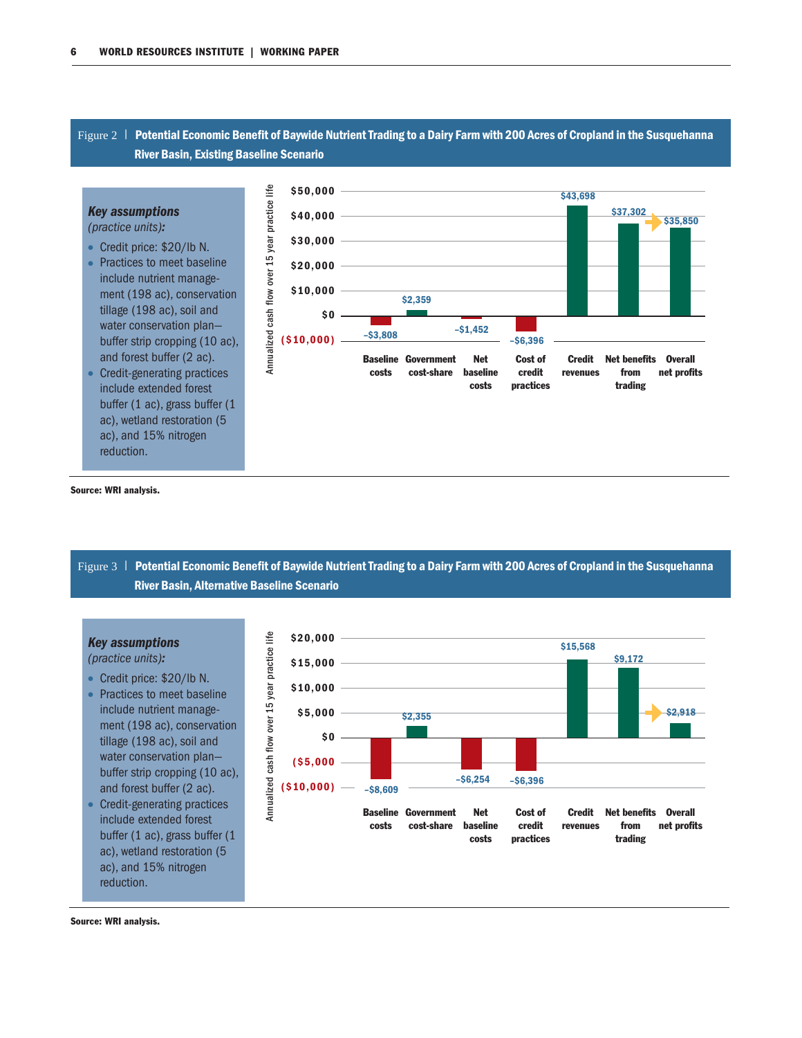### Figure 2 | Potential Economic Benefit of Baywide Nutrient Trading to a Dairy Farm with 200 Acres of Cropland in the Susquehanna River Basin, Existing Baseline Scenario



Source: WRI analysis.

Figure 3 | Potential Economic Benefit of Baywide Nutrient Trading to a Dairy Farm with 200 Acres of Cropland in the Susquehanna River Basin, Alternative Baseline Scenario

#### *Key assumptions*

(practice units)*:*

- Credit price: \$20/lb N. • Practices to meet baseline include nutrient management (198 ac), conservation tillage (198 ac), soil and water conservation plan buffer strip cropping (10 ac), and forest buffer (2 ac).
- Credit-generating practices include extended forest buffer (1 ac), grass buffer (1 ac), wetland restoration (5 ac), and 15% nitrogen reduction.



Source: WRI analysis.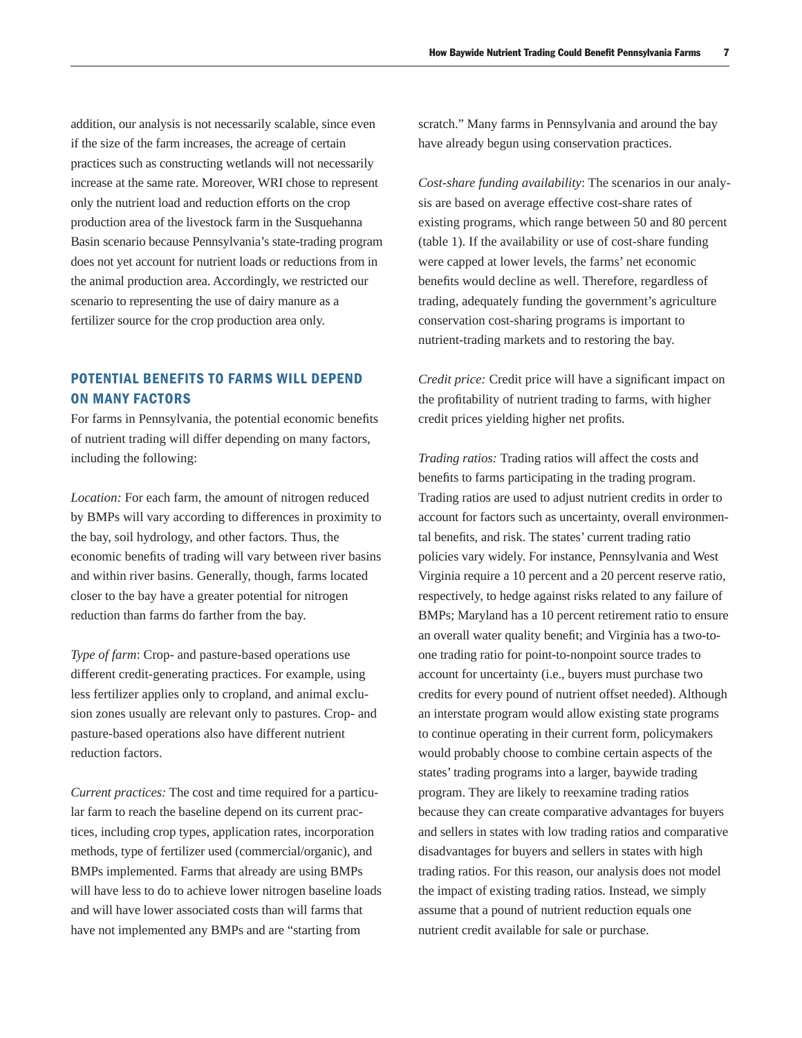addition, our analysis is not necessarily scalable, since even if the size of the farm increases, the acreage of certain practices such as constructing wetlands will not necessarily increase at the same rate. Moreover, WRI chose to represent only the nutrient load and reduction efforts on the crop production area of the livestock farm in the Susquehanna Basin scenario because Pennsylvania's state-trading program does not yet account for nutrient loads or reductions from in the animal production area. Accordingly, we restricted our scenario to representing the use of dairy manure as a fertilizer source for the crop production area only.

# POTENTIAL BENEFITS TO FARMS WILL DEPEND ON MANY FACTORS

For farms in Pennsylvania, the potential economic benefits of nutrient trading will differ depending on many factors, including the following:

*Location:* For each farm, the amount of nitrogen reduced by BMPs will vary according to differences in proximity to the bay, soil hydrology, and other factors. Thus, the economic benefits of trading will vary between river basins and within river basins. Generally, though, farms located closer to the bay have a greater potential for nitrogen reduction than farms do farther from the bay.

*Type of farm*: Crop- and pasture-based operations use different credit-generating practices. For example, using less fertilizer applies only to cropland, and animal exclusion zones usually are relevant only to pastures. Crop- and pasture-based operations also have different nutrient reduction factors.

*Current practices:* The cost and time required for a particular farm to reach the baseline depend on its current practices, including crop types, application rates, incorporation methods, type of fertilizer used (commercial/organic), and BMPs implemented. Farms that already are using BMPs will have less to do to achieve lower nitrogen baseline loads and will have lower associated costs than will farms that have not implemented any BMPs and are "starting from

scratch." Many farms in Pennsylvania and around the bay have already begun using conservation practices.

*Cost-share funding availability*: The scenarios in our analysis are based on average effective cost-share rates of existing programs, which range between 50 and 80 percent (table 1). If the availability or use of cost-share funding were capped at lower levels, the farms' net economic benefits would decline as well. Therefore, regardless of trading, adequately funding the government's agriculture conservation cost-sharing programs is important to nutrient-trading markets and to restoring the bay.

*Credit price:* Credit price will have a significant impact on the profitability of nutrient trading to farms, with higher credit prices yielding higher net profits.

*Trading ratios:* Trading ratios will affect the costs and benefits to farms participating in the trading program. Trading ratios are used to adjust nutrient credits in order to account for factors such as uncertainty, overall environmental benefits, and risk. The states' current trading ratio policies vary widely. For instance, Pennsylvania and West Virginia require a 10 percent and a 20 percent reserve ratio, respectively, to hedge against risks related to any failure of BMPs; Maryland has a 10 percent retirement ratio to ensure an overall water quality benefit; and Virginia has a two-toone trading ratio for point-to-nonpoint source trades to account for uncertainty (i.e., buyers must purchase two credits for every pound of nutrient offset needed). Although an interstate program would allow existing state programs to continue operating in their current form, policymakers would probably choose to combine certain aspects of the states' trading programs into a larger, baywide trading program. They are likely to reexamine trading ratios because they can create comparative advantages for buyers and sellers in states with low trading ratios and comparative disadvantages for buyers and sellers in states with high trading ratios. For this reason, our analysis does not model the impact of existing trading ratios. Instead, we simply assume that a pound of nutrient reduction equals one nutrient credit available for sale or purchase.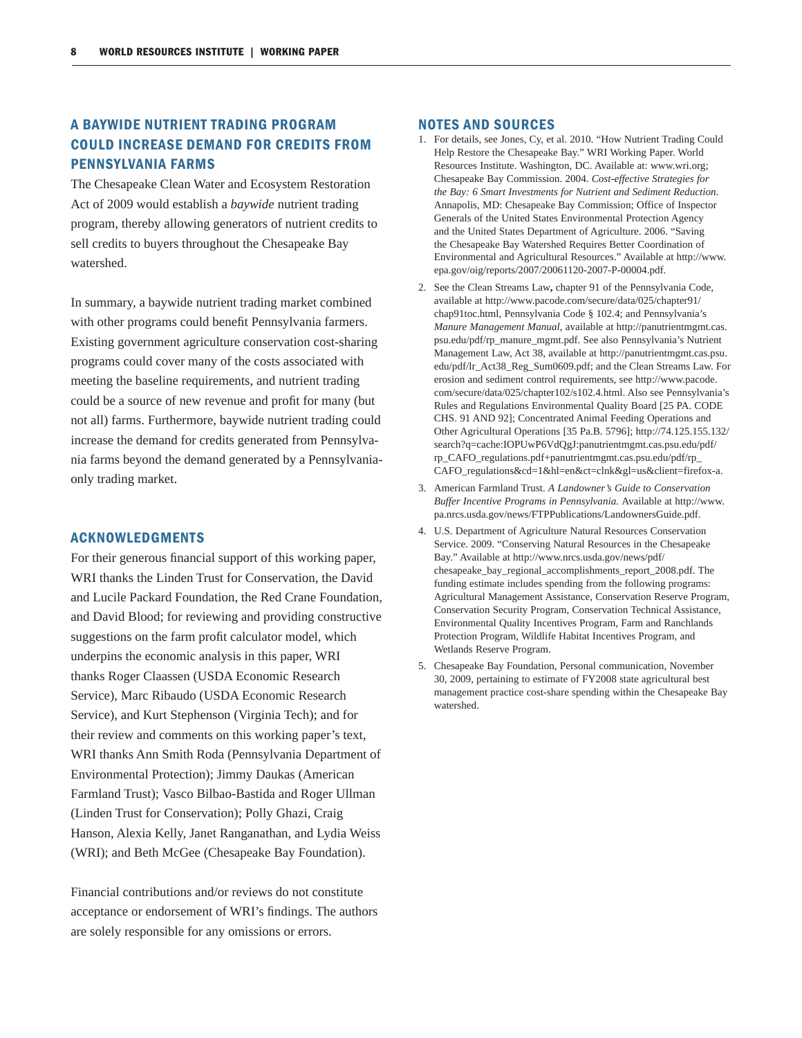# A BAYWIDE NUTRIENT TRADING PROGRAM COULD INCREASE DEMAND FOR CREDITS FROM PENNSYLVANIA FARMS

The Chesapeake Clean Water and Ecosystem Restoration Act of 2009 would establish a *baywide* nutrient trading program, thereby allowing generators of nutrient credits to sell credits to buyers throughout the Chesapeake Bay watershed.

In summary, a baywide nutrient trading market combined with other programs could benefit Pennsylvania farmers. Existing government agriculture conservation cost-sharing programs could cover many of the costs associated with meeting the baseline requirements, and nutrient trading could be a source of new revenue and profit for many (but) not all) farms. Furthermore, baywide nutrient trading could increase the demand for credits generated from Pennsylvania farms beyond the demand generated by a Pennsylvaniaonly trading market.

#### ACKNOWLEDGMENTS

For their generous financial support of this working paper, WRI thanks the Linden Trust for Conservation, the David and Lucile Packard Foundation, the Red Crane Foundation, and David Blood; for reviewing and providing constructive suggestions on the farm profit calculator model, which underpins the economic analysis in this paper, WRI thanks Roger Claassen (USDA Economic Research Service), Marc Ribaudo (USDA Economic Research Service), and Kurt Stephenson (Virginia Tech); and for their review and comments on this working paper's text, WRI thanks Ann Smith Roda (Pennsylvania Department of Environmental Protection); Jimmy Daukas (American Farmland Trust); Vasco Bilbao-Bastida and Roger Ullman (Linden Trust for Conservation); Polly Ghazi, Craig Hanson, Alexia Kelly, Janet Ranganathan, and Lydia Weiss (WRI); and Beth McGee (Chesapeake Bay Foundation).

Financial contributions and/or reviews do not constitute acceptance or endorsement of WRI's findings. The authors are solely responsible for any omissions or errors.

#### NOTES AND SOURCES

- 1. For details, see Jones, Cy, et al. 2010. "How Nutrient Trading Could Help Restore the Chesapeake Bay." WRI Working Paper. World Resources Institute. Washington, DC. Available at: www.wri.org; Chesapeake Bay Commission. 2004. *Cost-effective Strategies for the Bay: 6 Smart Investments for Nutrient and Sediment Reduction*. Annapolis, MD: Chesapeake Bay Commission; Office of Inspector Generals of the United States Environmental Protection Agency and the United States Department of Agriculture. 2006. "Saving the Chesapeake Bay Watershed Requires Better Coordination of Environmental and Agricultural Resources." Available at http://www. epa.gov/oig/reports/2007/20061120-2007-P-00004.pdf.
- 2. See the Clean Streams Law**,** chapter 91 of the Pennsylvania Code, available at http://www.pacode.com/secure/data/025/chapter91/ chap91toc.html, Pennsylvania Code § 102.4; and Pennsylvania's *Manure Management Manual*, available at http://panutrientmgmt.cas. psu.edu/pdf/rp\_manure\_mgmt.pdf. See also Pennsylvania's Nutrient Management Law, Act 38, available at http://panutrientmgmt.cas.psu. edu/pdf/lr\_Act38\_Reg\_Sum0609.pdf; and the Clean Streams Law. For erosion and sediment control requirements, see http://www.pacode. com/secure/data/025/chapter102/s102.4.html. Also see Pennsylvania's Rules and Regulations Environmental Quality Board [25 PA. CODE CHS. 91 AND 92]; Concentrated Animal Feeding Operations and Other Agricultural Operations [35 Pa.B. 5796]; http://74.125.155.132/ search?q=cache:IOPUwP6VdQgJ:panutrientmgmt.cas.psu.edu/pdf/ rp\_CAFO\_regulations.pdf+panutrientmgmt.cas.psu.edu/pdf/rp\_ CAFO\_regulations&cd=1&hl=en&ct=clnk&gl=us&client=firefox-a.
- 3. American Farmland Trust. *A Landowner's Guide to Conservation Buffer Incentive Programs in Pennsylvania.* Available at http://www. pa.nrcs.usda.gov/news/FTPPublications/LandownersGuide.pdf.
- 4. U.S. Department of Agriculture Natural Resources Conservation Service. 2009. "Conserving Natural Resources in the Chesapeake Bay." Available at http://www.nrcs.usda.gov/news/pdf/ chesapeake\_bay\_regional\_accomplishments\_report\_2008.pdf. The funding estimate includes spending from the following programs: Agricultural Management Assistance, Conservation Reserve Program, Conservation Security Program, Conservation Technical Assistance, Environmental Quality Incentives Program, Farm and Ranchlands Protection Program, Wildlife Habitat Incentives Program, and Wetlands Reserve Program.
- 5. Chesapeake Bay Foundation, Personal communication, November 30, 2009, pertaining to estimate of FY2008 state agricultural best management practice cost-share spending within the Chesapeake Bay watershed.